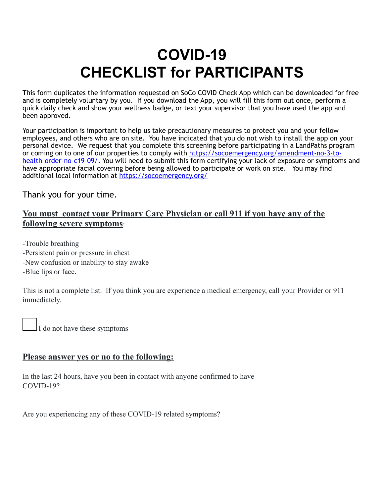## **COVID-19 CHECKLIST for PARTICIPANTS**

This form duplicates the information requested on SoCo COVID Check App which can be downloaded for free and is completely voluntary by you. If you download the App, you will fill this form out once, perform a quick daily check and show your wellness badge, or text your supervisor that you have used the app and been approved.

Your participation is important to help us take precautionary measures to protect you and your fellow employees, and others who are on site. You have indicated that you do not wish to install the app on your personal device. We request that you complete this screening before participating in a LandPaths program or coming on to one of our properties to comply with [https://socoemergency.org/amendment-no-3-to](https://socoemergency.org/amendment-no-3-to-health-order-no-c19-09/)[health-order-no-c19-09/](https://socoemergency.org/amendment-no-3-to-health-order-no-c19-09/). You will need to submit this form certifying your lack of exposure or symptoms and have appropriate facial covering before being allowed to participate or work on site. You may find additional local information at<https://socoemergency.org/>

Thank you for your time.

## **You must contact your Primary Care Physician or call 911 if you have any of the following severe symptoms**:

-Trouble breathing -Persistent pain or pressure in chest -New confusion or inability to stay awake -Blue lips or face.

This is not a complete list. If you think you are experience a medical emergency, call your Provider or 911 immediately.

I do not have these symptoms

## **Please answer yes or no to the following:**

In the last 24 hours, have you been in contact with anyone confirmed to have COVID-19?

Are you experiencing any of these COVID-19 related symptoms?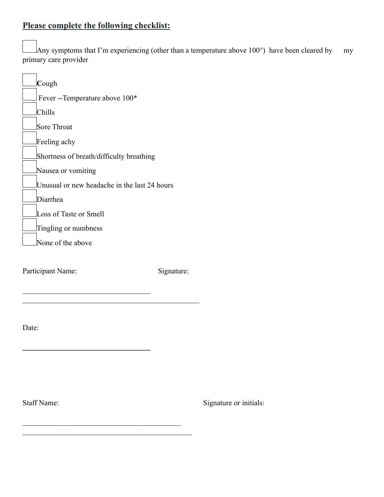## **Please complete the following checklist:**

Any symptoms that I'm experiencing (other than a temperature above 100 $^{\circ}$ ) have been cleared by my primary care provider

| Cough                                        |
|----------------------------------------------|
| Fever --Temperature above 100*               |
| Chills                                       |
| <b>Sore Throat</b>                           |
| Feeling achy                                 |
| Shortness of breath/difficulty breathing     |
| Nausea or vomiting                           |
| Unusual or new headache in the last 24 hours |
| Diarrhea                                     |
| Loss of Taste or Smell                       |
| Tingling or numbness                         |
| None of the above                            |
|                                              |

 $\_$ \_\_\_\_\_\_\_\_\_\_\_\_\_\_\_\_\_\_\_\_\_\_\_\_\_\_\_\_\_\_\_\_\_\_\_\_\_\_\_\_\_\_\_\_\_\_\_

\_\_\_\_\_\_\_\_\_\_\_\_\_\_\_\_\_\_\_\_\_\_\_\_\_\_\_\_\_\_\_\_\_\_\_\_\_\_\_\_\_\_  $\mathcal{L}_\text{max}$ 

 $\mathcal{L} = \{ \mathcal{L} \}$ 

Participant Name: Signature:

Date:

Staff Name: Signature or initials: